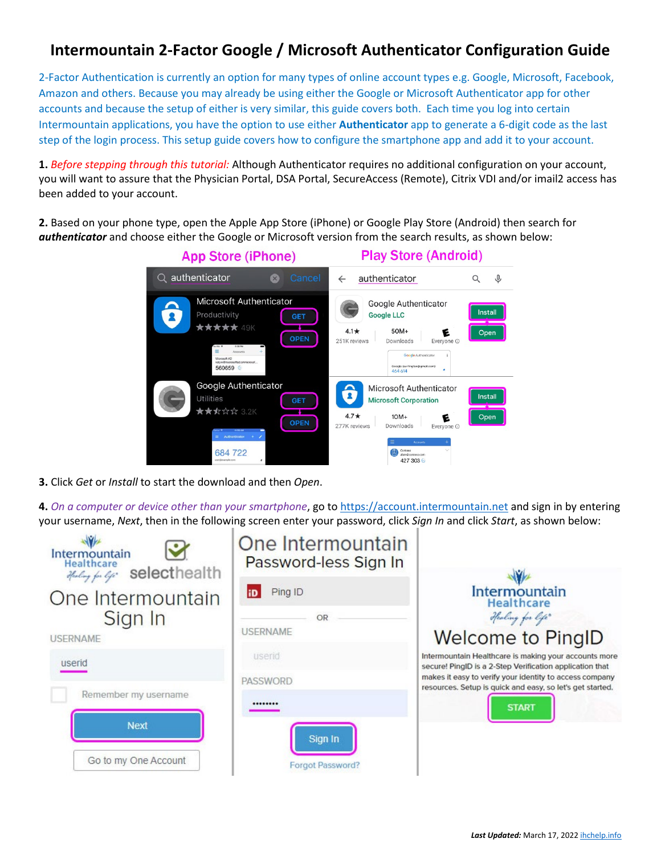## **Intermountain 2-Factor Google / Microsoft Authenticator Configuration Guide**

2-Factor Authentication is currently an option for many types of online account types e.g. Google, Microsoft, Facebook, Amazon and others. Because you may already be using either the Google or Microsoft Authenticator app for other accounts and because the setup of either is very similar, this guide covers both. Each time you log into certain Intermountain applications, you have the option to use either **Authenticator** app to generate a 6-digit code as the last step of the login process. This setup guide covers how to configure the smartphone app and add it to your account.

**1.** *Before stepping through this tutorial:* Although Authenticator requires no additional configuration on your account, you will want to assure that the Physician Portal, DSA Portal, SecureAccess (Remote), Citrix VDI and/or imail2 access has been added to your account.

**2.** Based on your phone type, open the Apple App Store (iPhone) or Google Play Store (Android) then search for *authenticator* and choose either the Google or Microsoft version from the search results, as shown below:

| <b>App Store (iPhone)</b>                                                                                                                                                                 | <b>Play Store (Android)</b>                                                                                                                                                                                             |  |
|-------------------------------------------------------------------------------------------------------------------------------------------------------------------------------------------|-------------------------------------------------------------------------------------------------------------------------------------------------------------------------------------------------------------------------|--|
| authenticator<br>Cancel<br>$\times$                                                                                                                                                       | authenticator<br>⇩<br>$\leftarrow$                                                                                                                                                                                      |  |
| Microsoft Authenticator<br>Productivity<br><b>GET</b><br>★★★★★ 49K<br><b>OPEN</b><br>to SM 9<br>2.28 PM<br>$\equiv$<br>Accounts<br>Microsoft AD<br>katyw@microsoftad.onmicrosof<br>560659 | Google Authenticator<br><b>Install</b><br><b>Google LLC</b><br>$4.1*$<br>$50M+$<br>Open<br>251K reviews<br>Downloads<br>Everyone <sup>O</sup><br>Google Authenticator<br>Google (surfingfan@gmail.com)<br>٠<br>464 614  |  |
| Google Authenticator<br><b>Utilities</b><br><b>GET</b><br>★★☆☆☆ 3.2K<br><b>OPEN</b><br>Authenticator<br>684 722<br>user@example.com                                                       | Microsoft Authenticator<br><b>Install</b><br><b>Microsoft Corporation</b><br>$4.7*$<br>$10M+$<br>Open<br>E<br>Downloads<br>277K reviews<br>Everyone <sup>O</sup><br>Accounts<br>Contasa<br>alain@contoso.com<br>427 303 |  |

**3.** Click *Get* or *Install* to start the download and then *Open*.

**4.** *On a computer or device other than your smartphone*, go to [https://account.intermountain.net](https://account.intermountain.net/) and sign in by entering your username, *Next*, then in the following screen enter your password, click *Sign In* and click *Start*, as shown below:

| Intermountain<br><b>Healthcare</b><br>selecthealth<br>Healing for life | One Intermountain<br>Password-less Sign In |                                                                                                                      |  |
|------------------------------------------------------------------------|--------------------------------------------|----------------------------------------------------------------------------------------------------------------------|--|
| One Intermountain                                                      | Ping ID<br>iD                              | Intermountain<br><b>Healthcare</b>                                                                                   |  |
| Sign In                                                                | OR                                         | Healing for life"                                                                                                    |  |
| <b>USERNAME</b>                                                        | <b>USERNAME</b>                            | <b>Welcome to PingID</b>                                                                                             |  |
| userid                                                                 | userid                                     | Intermountain Healthcare is making your accounts more<br>secure! PingID is a 2-Step Verification application that    |  |
|                                                                        | <b>PASSWORD</b>                            | makes it easy to verify your identity to access company<br>resources. Setup is quick and easy, so let's get started. |  |
| Remember my username                                                   |                                            | <b>START</b>                                                                                                         |  |
| <b>Next</b>                                                            | Sign In                                    |                                                                                                                      |  |
| Go to my One Account                                                   | Forgot Password?                           |                                                                                                                      |  |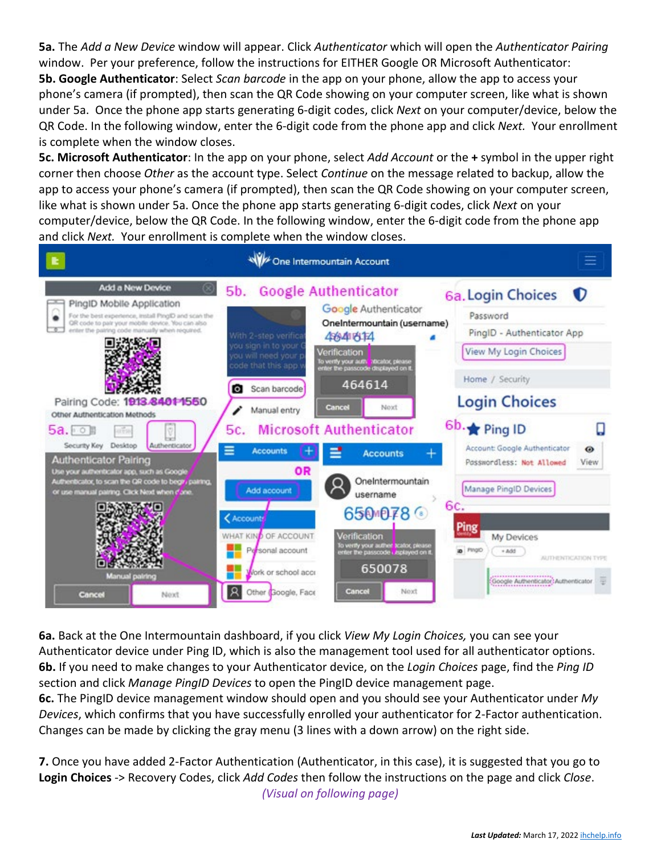**5a.** The *Add a New Device* window will appear. Click *Authenticator* which will open the *Authenticator Pairing* window. Per your preference, follow the instructions for EITHER Google OR Microsoft Authenticator: **5b. Google Authenticator**: Select *Scan barcode* in the app on your phone, allow the app to access your phone's camera (if prompted), then scan the QR Code showing on your computer screen, like what is shown under 5a. Once the phone app starts generating 6-digit codes, click *Next* on your computer/device, below the QR Code. In the following window, enter the 6-digit code from the phone app and click *Next.* Your enrollment is complete when the window closes.

**5c. Microsoft Authenticator**: In the app on your phone, select *Add Account* or the **+** symbol in the upper right corner then choose *Other* as the account type. Select *Continue* on the message related to backup, allow the app to access your phone's camera (if prompted), then scan the QR Code showing on your computer screen, like what is shown under 5a. Once the phone app starts generating 6-digit codes, click *Next* on your computer/device, below the QR Code. In the following window, enter the 6-digit code from the phone app and click *Next.* Your enrollment is complete when the window closes.



**6a.** Back at the One Intermountain dashboard, if you click *View My Login Choices,* you can see your Authenticator device under Ping ID, which is also the management tool used for all authenticator options. **6b.** If you need to make changes to your Authenticator device, on the *Login Choices* page, find the *Ping ID* section and click *Manage PingID Devices* to open the PingID device management page.

**6c.** The PingID device management window should open and you should see your Authenticator under *My Devices*, which confirms that you have successfully enrolled your authenticator for 2-Factor authentication. Changes can be made by clicking the gray menu (3 lines with a down arrow) on the right side.

**7.** Once you have added 2-Factor Authentication (Authenticator, in this case), it is suggested that you go to **Login Choices** -> Recovery Codes, click *Add Codes* then follow the instructions on the page and click *Close*. *(Visual on following page)*